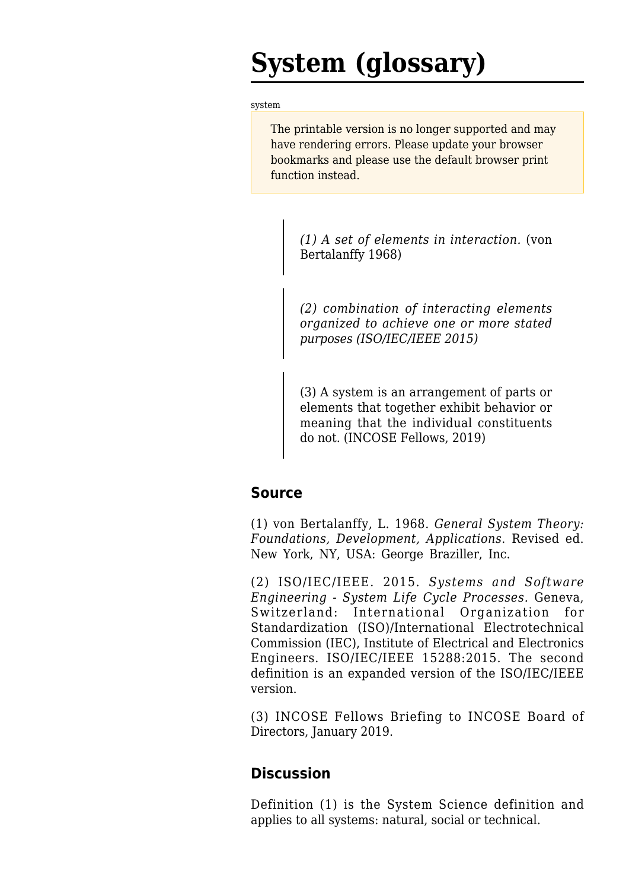# **System (glossary)**

[system](http://sandbox.sebokwiki.org/System_(glossary))

The printable version is no longer supported and may have rendering errors. Please update your browser bookmarks and please use the default browser print function instead.

> *(1) A set of elements in interaction.* (von Bertalanffy 1968)

> *(2) combination of interacting elements organized to achieve one or more stated purposes (ISO/IEC/IEEE 2015)*

> (3) A system is an arrangement of parts or elements that together exhibit behavior or meaning that the individual constituents do not. (INCOSE Fellows, 2019)

## **Source**

(1) von Bertalanffy, L. 1968. *General System Theory: Foundations, Development, Applications.* Revised ed. New York, NY, USA: George Braziller, Inc.

(2) ISO/IEC/IEEE. 2015. *[Systems and Software](http://sandbox.sebokwiki.org/ISO/IEC/IEEE_15288) [Engineering - System Life Cycle Processes.](http://sandbox.sebokwiki.org/ISO/IEC/IEEE_15288)* Geneva, Switzerland: International Organization for Standardization (ISO)/International Electrotechnical Commission (IEC), Institute of Electrical and Electronics Engineers. ISO/IEC/IEEE 15288:2015. The second definition is an expanded version of the ISO/IEC/IEEE version.

(3) INCOSE Fellows Briefing to INCOSE Board of Directors, January 2019.

## **Discussion**

Definition (1) is the System Science definition and applies to all systems: natural, social or technical.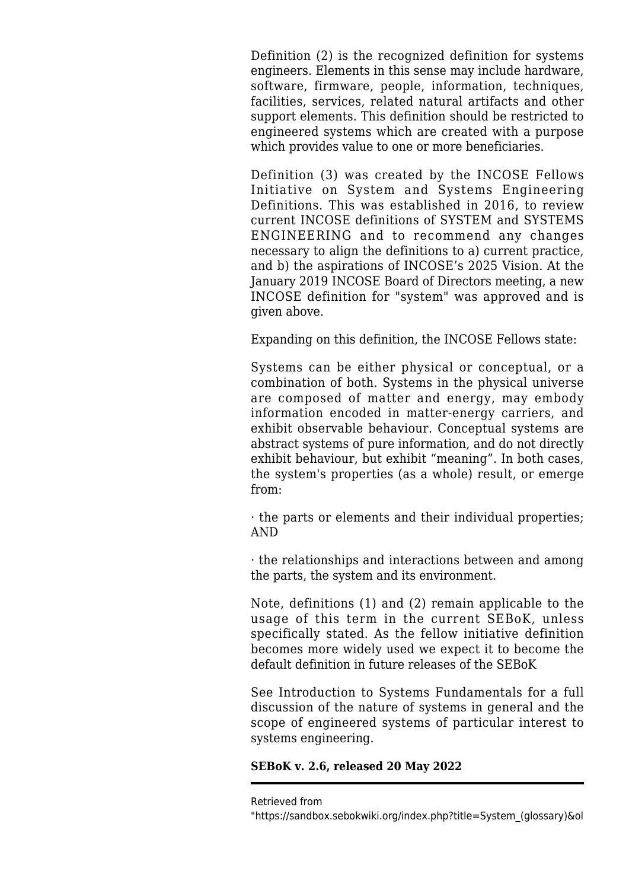Definition (2) is the recognized definition for systems engineers. Elements in this sense may include hardware, software, firmware, people, information, techniques, facilities, services, related natural artifacts and other support elements. This definition should be restricted to engineered systems which are created with a purpose which provides value to one or more beneficiaries.

Definition (3) was created by the INCOSE Fellows Initiative on System and Systems Engineering Definitions. This was established in 2016, to review current INCOSE definitions of SYSTEM and SYSTEMS ENGINEERING and to recommend any changes necessary to align the definitions to a) current practice, and b) the aspirations of INCOSE's 2025 Vision. At the January 2019 INCOSE Board of Directors meeting, a new INCOSE definition for "system" was approved and is given above.

Expanding on this definition, the INCOSE Fellows state:

Systems can be either physical or conceptual, or a combination of both. Systems in the physical universe are composed of matter and energy, may embody information encoded in matter-energy carriers, and exhibit observable behaviour. Conceptual systems are abstract systems of pure information, and do not directly exhibit behaviour, but exhibit "meaning". In both cases, the system's properties (as a whole) result, or emerge from:

· the parts or elements and their individual properties; AND

· the relationships and interactions between and among the parts, the system and its environment.

Note, definitions (1) and (2) remain applicable to the usage of this term in the current SEBoK, unless specifically stated. As the fellow initiative definition becomes more widely used we expect it to become the default definition in future releases of the SEBoK

See Introduction to Systems Fundamentals for a full discussion of the nature of systems in general and the scope of engineered systems of particular interest to systems engineering.

### **SEBoK v. 2.6, released 20 May 2022**

Retrieved from

<sup>&</sup>quot;[https://sandbox.sebokwiki.org/index.php?title=System\\_\(glossary\)&ol](https://sandbox.sebokwiki.org/index.php?title=System_(glossary)&oldid=65383)